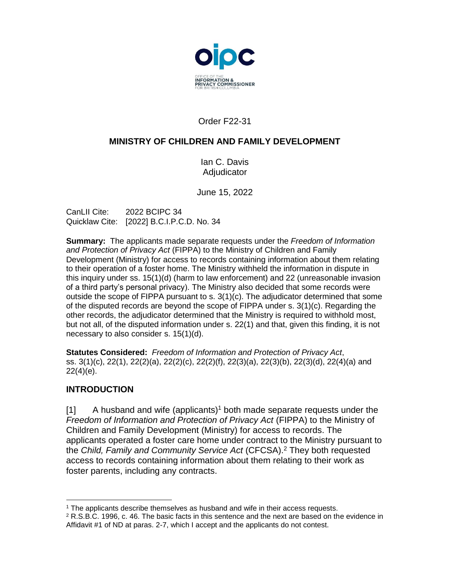

# Order F22-31

#### **MINISTRY OF CHILDREN AND FAMILY DEVELOPMENT**

Ian C. Davis Adjudicator

June 15, 2022

CanLII Cite: 2022 BCIPC 34 Quicklaw Cite: [2022] B.C.I.P.C.D. No. 34

**Summary:** The applicants made separate requests under the *Freedom of Information and Protection of Privacy Act* (FIPPA) to the Ministry of Children and Family Development (Ministry) for access to records containing information about them relating to their operation of a foster home. The Ministry withheld the information in dispute in this inquiry under ss. 15(1)(d) (harm to law enforcement) and 22 (unreasonable invasion of a third party's personal privacy). The Ministry also decided that some records were outside the scope of FIPPA pursuant to s.  $3(1)(c)$ . The adjudicator determined that some of the disputed records are beyond the scope of  $FIPPA$  under s.  $3(1)(c)$ . Regarding the other records, the adjudicator determined that the Ministry is required to withhold most, but not all, of the disputed information under s. 22(1) and that, given this finding, it is not necessary to also consider s. 15(1)(d).

**Statutes Considered:** *Freedom of Information and Protection of Privacy Act*, ss. 3(1)(c), 22(1), 22(2)(a), 22(2)(c), 22(2)(f), 22(3)(a), 22(3)(b), 22(3)(d), 22(4)(a) and 22(4)(e).

#### **INTRODUCTION**

 $\overline{a}$ 

[1] A husband and wife (applicants)<sup>1</sup> both made separate requests under the *Freedom of Information and Protection of Privacy Act* (FIPPA) to the Ministry of Children and Family Development (Ministry) for access to records. The applicants operated a foster care home under contract to the Ministry pursuant to the *Child, Family and Community Service Act* (CFCSA). <sup>2</sup> They both requested access to records containing information about them relating to their work as foster parents, including any contracts.

<sup>1</sup> The applicants describe themselves as husband and wife in their access requests.

 $2$  R.S.B.C. 1996, c. 46. The basic facts in this sentence and the next are based on the evidence in Affidavit #1 of ND at paras. 2-7, which I accept and the applicants do not contest.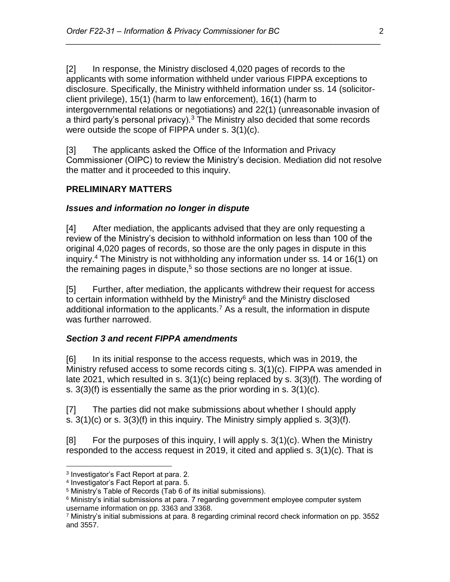[2] In response, the Ministry disclosed 4,020 pages of records to the applicants with some information withheld under various FIPPA exceptions to disclosure. Specifically, the Ministry withheld information under ss. 14 (solicitorclient privilege), 15(1) (harm to law enforcement), 16(1) (harm to intergovernmental relations or negotiations) and 22(1) (unreasonable invasion of a third party's personal privacy).<sup>3</sup> The Ministry also decided that some records were outside the scope of FIPPA under s. 3(1)(c).

*\_\_\_\_\_\_\_\_\_\_\_\_\_\_\_\_\_\_\_\_\_\_\_\_\_\_\_\_\_\_\_\_\_\_\_\_\_\_\_\_\_\_\_\_\_\_\_\_\_\_\_\_\_\_\_\_\_\_\_\_\_\_\_\_\_\_\_\_\_\_*

[3] The applicants asked the Office of the Information and Privacy Commissioner (OIPC) to review the Ministry's decision. Mediation did not resolve the matter and it proceeded to this inquiry.

#### **PRELIMINARY MATTERS**

#### *Issues and information no longer in dispute*

[4] After mediation, the applicants advised that they are only requesting a review of the Ministry's decision to withhold information on less than 100 of the original 4,020 pages of records, so those are the only pages in dispute in this inquiry. <sup>4</sup> The Ministry is not withholding any information under ss. 14 or 16(1) on the remaining pages in dispute,<sup>5</sup> so those sections are no longer at issue.

[5] Further, after mediation, the applicants withdrew their request for access to certain information withheld by the Ministry $6$  and the Ministry disclosed additional information to the applicants.<sup>7</sup> As a result, the information in dispute was further narrowed.

# *Section 3 and recent FIPPA amendments*

[6] In its initial response to the access requests, which was in 2019, the Ministry refused access to some records citing s. 3(1)(c). FIPPA was amended in late 2021, which resulted in s. 3(1)(c) being replaced by s. 3(3)(f). The wording of s.  $3(3)(f)$  is essentially the same as the prior wording in s.  $3(1)(c)$ .

[7] The parties did not make submissions about whether I should apply s.  $3(1)(c)$  or s.  $3(3)(f)$  in this inquiry. The Ministry simply applied s.  $3(3)(f)$ .

[8] For the purposes of this inquiry, I will apply s. 3(1)(c). When the Ministry responded to the access request in 2019, it cited and applied s. 3(1)(c). That is

 $\overline{a}$ 3 Investigator's Fact Report at para. 2.

<sup>4</sup> Investigator's Fact Report at para. 5.

<sup>5</sup> Ministry's Table of Records (Tab 6 of its initial submissions).

<sup>&</sup>lt;sup>6</sup> Ministry's initial submissions at para. 7 regarding government employee computer system username information on pp. 3363 and 3368.

 $7$  Ministry's initial submissions at para. 8 regarding criminal record check information on pp. 3552 and 3557.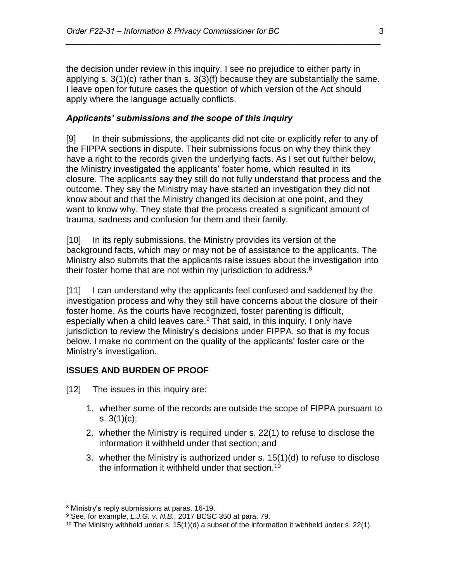the decision under review in this inquiry. I see no prejudice to either party in applying s. 3(1)(c) rather than s. 3(3)(f) because they are substantially the same. I leave open for future cases the question of which version of the Act should apply where the language actually conflicts.

*\_\_\_\_\_\_\_\_\_\_\_\_\_\_\_\_\_\_\_\_\_\_\_\_\_\_\_\_\_\_\_\_\_\_\_\_\_\_\_\_\_\_\_\_\_\_\_\_\_\_\_\_\_\_\_\_\_\_\_\_\_\_\_\_\_\_\_\_\_\_*

#### *Applicants' submissions and the scope of this inquiry*

[9] In their submissions, the applicants did not cite or explicitly refer to any of the FIPPA sections in dispute. Their submissions focus on why they think they have a right to the records given the underlying facts. As I set out further below, the Ministry investigated the applicants' foster home, which resulted in its closure. The applicants say they still do not fully understand that process and the outcome. They say the Ministry may have started an investigation they did not know about and that the Ministry changed its decision at one point, and they want to know why. They state that the process created a significant amount of trauma, sadness and confusion for them and their family.

[10] In its reply submissions, the Ministry provides its version of the background facts, which may or may not be of assistance to the applicants. The Ministry also submits that the applicants raise issues about the investigation into their foster home that are not within my jurisdiction to address.<sup>8</sup>

[11] I can understand why the applicants feel confused and saddened by the investigation process and why they still have concerns about the closure of their foster home. As the courts have recognized, foster parenting is difficult, especially when a child leaves care.<sup>9</sup> That said, in this inquiry, I only have jurisdiction to review the Ministry's decisions under FIPPA, so that is my focus below. I make no comment on the quality of the applicants' foster care or the Ministry's investigation.

#### **ISSUES AND BURDEN OF PROOF**

[12] The issues in this inquiry are:

- 1. whether some of the records are outside the scope of FIPPA pursuant to s.  $3(1)(c)$ ;
- 2. whether the Ministry is required under s. 22(1) to refuse to disclose the information it withheld under that section; and
- 3. whether the Ministry is authorized under s. 15(1)(d) to refuse to disclose the information it withheld under that section.<sup>10</sup>

<sup>8</sup> Ministry's reply submissions at paras. 16-19.

<sup>9</sup> See, for example, *L.J.G. v. N.B.*, 2017 BCSC 350 at para. 79.

<sup>&</sup>lt;sup>10</sup> The Ministry withheld under s.  $15(1)(d)$  a subset of the information it withheld under s. 22(1).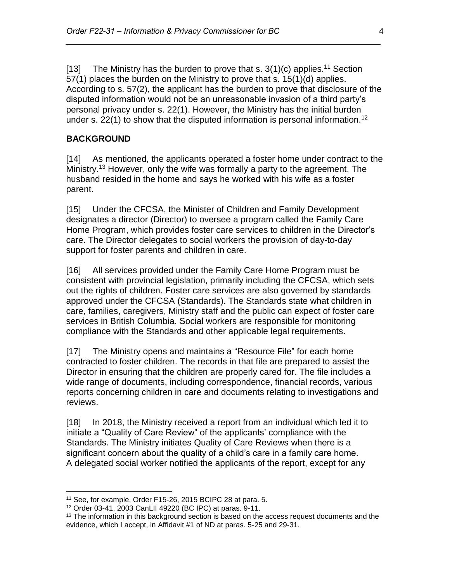[13] The Ministry has the burden to prove that s.  $3(1)(c)$  applies.<sup>11</sup> Section 57(1) places the burden on the Ministry to prove that s. 15(1)(d) applies. According to s. 57(2), the applicant has the burden to prove that disclosure of the disputed information would not be an unreasonable invasion of a third party's personal privacy under s. 22(1). However, the Ministry has the initial burden under s. 22(1) to show that the disputed information is personal information.<sup>12</sup>

*\_\_\_\_\_\_\_\_\_\_\_\_\_\_\_\_\_\_\_\_\_\_\_\_\_\_\_\_\_\_\_\_\_\_\_\_\_\_\_\_\_\_\_\_\_\_\_\_\_\_\_\_\_\_\_\_\_\_\_\_\_\_\_\_\_\_\_\_\_\_*

#### **BACKGROUND**

[14] As mentioned, the applicants operated a foster home under contract to the Ministry. <sup>13</sup> However, only the wife was formally a party to the agreement. The husband resided in the home and says he worked with his wife as a foster parent.

[15] Under the CFCSA, the Minister of Children and Family Development designates a director (Director) to oversee a program called the Family Care Home Program, which provides foster care services to children in the Director's care. The Director delegates to social workers the provision of day-to-day support for foster parents and children in care.

[16] All services provided under the Family Care Home Program must be consistent with provincial legislation, primarily including the CFCSA, which sets out the rights of children. Foster care services are also governed by standards approved under the CFCSA (Standards). The Standards state what children in care, families, caregivers, Ministry staff and the public can expect of foster care services in British Columbia. Social workers are responsible for monitoring compliance with the Standards and other applicable legal requirements.

[17] The Ministry opens and maintains a "Resource File" for each home contracted to foster children. The records in that file are prepared to assist the Director in ensuring that the children are properly cared for. The file includes a wide range of documents, including correspondence, financial records, various reports concerning children in care and documents relating to investigations and reviews.

[18] In 2018, the Ministry received a report from an individual which led it to initiate a "Quality of Care Review" of the applicants' compliance with the Standards. The Ministry initiates Quality of Care Reviews when there is a significant concern about the quality of a child's care in a family care home. A delegated social worker notified the applicants of the report, except for any

<sup>&</sup>lt;sup>11</sup> See, for example, Order F15-26, 2015 BCIPC 28 at para. 5.

<sup>12</sup> Order 03-41, 2003 CanLII 49220 (BC IPC) at paras. 9-11.

 $13$  The information in this background section is based on the access request documents and the evidence, which I accept, in Affidavit #1 of ND at paras. 5-25 and 29-31.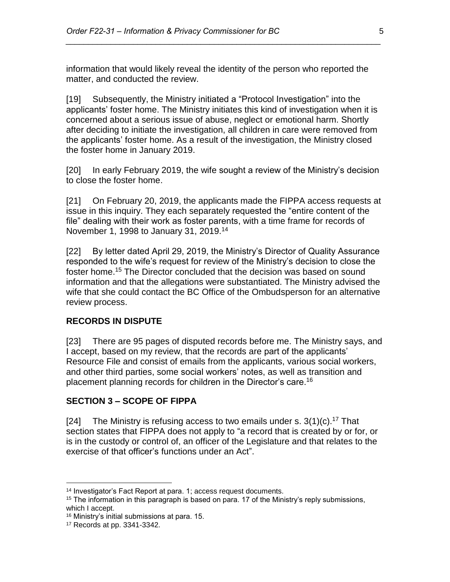information that would likely reveal the identity of the person who reported the matter, and conducted the review.

*\_\_\_\_\_\_\_\_\_\_\_\_\_\_\_\_\_\_\_\_\_\_\_\_\_\_\_\_\_\_\_\_\_\_\_\_\_\_\_\_\_\_\_\_\_\_\_\_\_\_\_\_\_\_\_\_\_\_\_\_\_\_\_\_\_\_\_\_\_\_*

[19] Subsequently, the Ministry initiated a "Protocol Investigation" into the applicants' foster home. The Ministry initiates this kind of investigation when it is concerned about a serious issue of abuse, neglect or emotional harm. Shortly after deciding to initiate the investigation, all children in care were removed from the applicants' foster home. As a result of the investigation, the Ministry closed the foster home in January 2019.

[20] In early February 2019, the wife sought a review of the Ministry's decision to close the foster home.

[21] On February 20, 2019, the applicants made the FIPPA access requests at issue in this inquiry. They each separately requested the "entire content of the file" dealing with their work as foster parents, with a time frame for records of November 1, 1998 to January 31, 2019.<sup>14</sup>

[22] By letter dated April 29, 2019, the Ministry's Director of Quality Assurance responded to the wife's request for review of the Ministry's decision to close the foster home. <sup>15</sup> The Director concluded that the decision was based on sound information and that the allegations were substantiated. The Ministry advised the wife that she could contact the BC Office of the Ombudsperson for an alternative review process.

#### **RECORDS IN DISPUTE**

[23] There are 95 pages of disputed records before me. The Ministry says, and I accept, based on my review, that the records are part of the applicants' Resource File and consist of emails from the applicants, various social workers, and other third parties, some social workers' notes, as well as transition and placement planning records for children in the Director's care.<sup>16</sup>

#### **SECTION 3 – SCOPE OF FIPPA**

[24] The Ministry is refusing access to two emails under s.  $3(1)(c)$ .<sup>17</sup> That section states that FIPPA does not apply to "a record that is created by or for, or is in the custody or control of, an officer of the Legislature and that relates to the exercise of that officer's functions under an Act".

<sup>14</sup> Investigator's Fact Report at para. 1; access request documents.

 $15$  The information in this paragraph is based on para. 17 of the Ministry's reply submissions, which I accept.

<sup>16</sup> Ministry's initial submissions at para. 15.

<sup>17</sup> Records at pp. 3341-3342.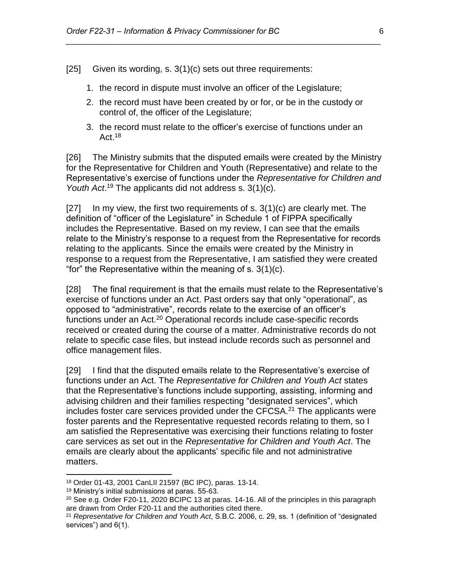[25] Given its wording, s. 3(1)(c) sets out three requirements:

- 1. the record in dispute must involve an officer of the Legislature;
- 2. the record must have been created by or for, or be in the custody or control of, the officer of the Legislature;

*\_\_\_\_\_\_\_\_\_\_\_\_\_\_\_\_\_\_\_\_\_\_\_\_\_\_\_\_\_\_\_\_\_\_\_\_\_\_\_\_\_\_\_\_\_\_\_\_\_\_\_\_\_\_\_\_\_\_\_\_\_\_\_\_\_\_\_\_\_\_*

3. the record must relate to the officer's exercise of functions under an Act.<sup>18</sup>

[26] The Ministry submits that the disputed emails were created by the Ministry for the Representative for Children and Youth (Representative) and relate to the Representative's exercise of functions under the *Representative for Children and*  Youth Act.<sup>19</sup> The applicants did not address s. 3(1)(c).

 $[27]$  In my view, the first two requirements of s.  $3(1)(c)$  are clearly met. The definition of "officer of the Legislature" in Schedule 1 of FIPPA specifically includes the Representative. Based on my review, I can see that the emails relate to the Ministry's response to a request from the Representative for records relating to the applicants. Since the emails were created by the Ministry in response to a request from the Representative, I am satisfied they were created "for" the Representative within the meaning of s. 3(1)(c).

[28] The final requirement is that the emails must relate to the Representative's exercise of functions under an Act. Past orders say that only "operational", as opposed to "administrative", records relate to the exercise of an officer's functions under an Act.<sup>20</sup> Operational records include case-specific records received or created during the course of a matter. Administrative records do not relate to specific case files, but instead include records such as personnel and office management files.

[29] I find that the disputed emails relate to the Representative's exercise of functions under an Act. The *Representative for Children and Youth Act* states that the Representative's functions include supporting, assisting, informing and advising children and their families respecting "designated services", which includes foster care services provided under the CFCSA. $21$  The applicants were foster parents and the Representative requested records relating to them, so I am satisfied the Representative was exercising their functions relating to foster care services as set out in the *Representative for Children and Youth Act*. The emails are clearly about the applicants' specific file and not administrative matters.

<sup>18</sup> Order 01-43, 2001 CanLII 21597 (BC IPC), paras. 13-14.

<sup>19</sup> Ministry's initial submissions at paras. 55-63.

<sup>&</sup>lt;sup>20</sup> See e.g. Order F20-11, 2020 BCIPC 13 at paras. 14-16. All of the principles in this paragraph are drawn from Order F20-11 and the authorities cited there.

<sup>21</sup> *Representative for Children and Youth Act*, S.B.C. 2006, c. 29, ss. 1 (definition of "designated services") and 6(1).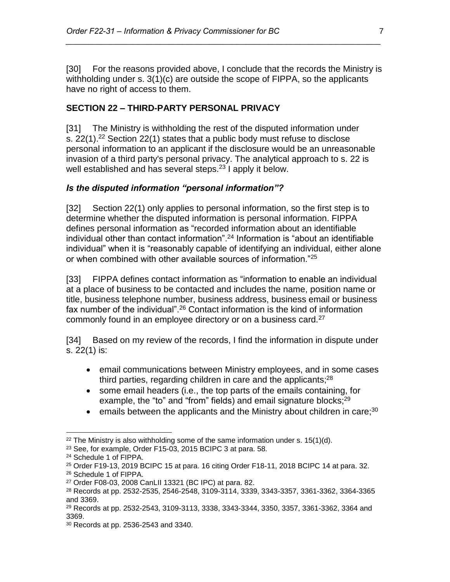[30] For the reasons provided above, I conclude that the records the Ministry is withholding under s. 3(1)(c) are outside the scope of FIPPA, so the applicants have no right of access to them.

*\_\_\_\_\_\_\_\_\_\_\_\_\_\_\_\_\_\_\_\_\_\_\_\_\_\_\_\_\_\_\_\_\_\_\_\_\_\_\_\_\_\_\_\_\_\_\_\_\_\_\_\_\_\_\_\_\_\_\_\_\_\_\_\_\_\_\_\_\_\_*

# **SECTION 22 – THIRD-PARTY PERSONAL PRIVACY**

[31] The Ministry is withholding the rest of the disputed information under s. 22(1).<sup>22</sup> Section 22(1) states that a public body must refuse to disclose personal information to an applicant if the disclosure would be an unreasonable invasion of a third party's personal privacy. The analytical approach to s. 22 is well established and has several steps.<sup>23</sup> I apply it below.

#### *Is the disputed information "personal information"?*

[32] Section 22(1) only applies to personal information, so the first step is to determine whether the disputed information is personal information. FIPPA defines personal information as "recorded information about an identifiable individual other than contact information".<sup>24</sup> Information is "about an identifiable individual" when it is "reasonably capable of identifying an individual, either alone or when combined with other available sources of information."<sup>25</sup>

[33] FIPPA defines contact information as "information to enable an individual at a place of business to be contacted and includes the name, position name or title, business telephone number, business address, business email or business fax number of the individual".<sup>26</sup> Contact information is the kind of information commonly found in an employee directory or on a business card.<sup>27</sup>

[34] Based on my review of the records, I find the information in dispute under s. 22(1) is:

- email communications between Ministry employees, and in some cases third parties, regarding children in care and the applicants;<sup>28</sup>
- some email headers (i.e., the top parts of the emails containing, for example, the "to" and "from" fields) and email signature blocks;<sup>29</sup>
- emails between the applicants and the Ministry about children in care;  $30$

 $\overline{a}$  $22$  The Ministry is also withholding some of the same information under s. 15(1)(d).

<sup>&</sup>lt;sup>23</sup> See, for example, Order F15-03, 2015 BCIPC 3 at para. 58.

<sup>24</sup> Schedule 1 of FIPPA.

<sup>25</sup> Order F19-13, 2019 BCIPC 15 at para. 16 citing Order F18-11, 2018 BCIPC 14 at para. 32.

<sup>26</sup> Schedule 1 of FIPPA.

<sup>27</sup> Order F08-03, 2008 CanLII 13321 (BC IPC) at para. 82.

<sup>28</sup> Records at pp. 2532-2535, 2546-2548, 3109-3114, 3339, 3343-3357, 3361-3362, 3364-3365 and 3369.

<sup>29</sup> Records at pp. 2532-2543, 3109-3113, 3338, 3343-3344, 3350, 3357, 3361-3362, 3364 and 3369.

<sup>30</sup> Records at pp. 2536-2543 and 3340.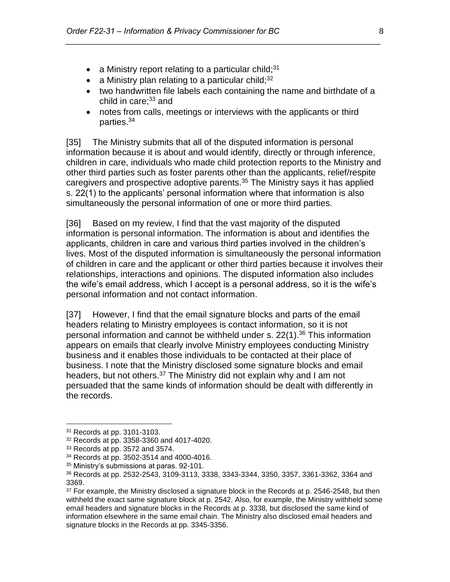- a Ministry report relating to a particular child;  $31$
- a Ministry plan relating to a particular child;  $32$
- two handwritten file labels each containing the name and birthdate of a child in care; $33$  and
- notes from calls, meetings or interviews with the applicants or third parties. 34

*\_\_\_\_\_\_\_\_\_\_\_\_\_\_\_\_\_\_\_\_\_\_\_\_\_\_\_\_\_\_\_\_\_\_\_\_\_\_\_\_\_\_\_\_\_\_\_\_\_\_\_\_\_\_\_\_\_\_\_\_\_\_\_\_\_\_\_\_\_\_*

[35] The Ministry submits that all of the disputed information is personal information because it is about and would identify, directly or through inference, children in care, individuals who made child protection reports to the Ministry and other third parties such as foster parents other than the applicants, relief/respite caregivers and prospective adoptive parents.<sup>35</sup> The Ministry says it has applied s. 22(1) to the applicants' personal information where that information is also simultaneously the personal information of one or more third parties.

[36] Based on my review, I find that the vast majority of the disputed information is personal information. The information is about and identifies the applicants, children in care and various third parties involved in the children's lives. Most of the disputed information is simultaneously the personal information of children in care and the applicant or other third parties because it involves their relationships, interactions and opinions. The disputed information also includes the wife's email address, which I accept is a personal address, so it is the wife's personal information and not contact information.

[37] However, I find that the email signature blocks and parts of the email headers relating to Ministry employees is contact information, so it is not personal information and cannot be withheld under s. 22(1).<sup>36</sup> This information appears on emails that clearly involve Ministry employees conducting Ministry business and it enables those individuals to be contacted at their place of business. I note that the Ministry disclosed some signature blocks and email headers, but not others.<sup>37</sup> The Ministry did not explain why and I am not persuaded that the same kinds of information should be dealt with differently in the records.

<sup>31</sup> Records at pp. 3101-3103.

<sup>32</sup> Records at pp. 3358-3360 and 4017-4020.

<sup>33</sup> Records at pp. 3572 and 3574.

<sup>34</sup> Records at pp. 3502-3514 and 4000-4016.

<sup>35</sup> Ministry's submissions at paras. 92-101.

<sup>36</sup> Records at pp. 2532-2543, 3109-3113, 3338, 3343-3344, 3350, 3357, 3361-3362, 3364 and 3369.

<sup>&</sup>lt;sup>37</sup> For example, the Ministry disclosed a signature block in the Records at p. 2546-2548, but then withheld the exact same signature block at p. 2542. Also, for example, the Ministry withheld some email headers and signature blocks in the Records at p. 3338, but disclosed the same kind of information elsewhere in the same email chain. The Ministry also disclosed email headers and signature blocks in the Records at pp. 3345-3356.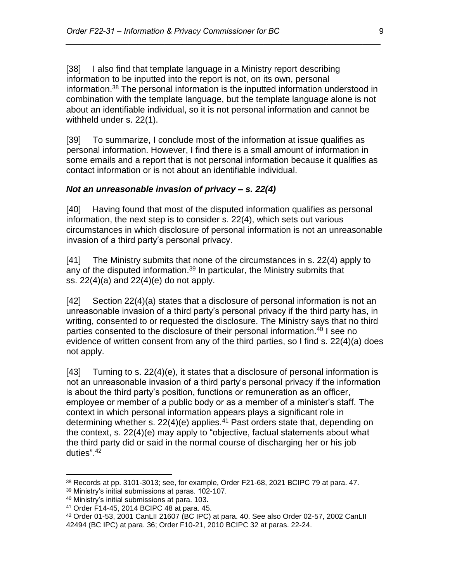[38] I also find that template language in a Ministry report describing information to be inputted into the report is not, on its own, personal information.<sup>38</sup> The personal information is the inputted information understood in combination with the template language, but the template language alone is not about an identifiable individual, so it is not personal information and cannot be withheld under s. 22(1).

*\_\_\_\_\_\_\_\_\_\_\_\_\_\_\_\_\_\_\_\_\_\_\_\_\_\_\_\_\_\_\_\_\_\_\_\_\_\_\_\_\_\_\_\_\_\_\_\_\_\_\_\_\_\_\_\_\_\_\_\_\_\_\_\_\_\_\_\_\_\_*

[39] To summarize, I conclude most of the information at issue qualifies as personal information. However, I find there is a small amount of information in some emails and a report that is not personal information because it qualifies as contact information or is not about an identifiable individual.

#### *Not an unreasonable invasion of privacy – s. 22(4)*

[40] Having found that most of the disputed information qualifies as personal information, the next step is to consider s. 22(4), which sets out various circumstances in which disclosure of personal information is not an unreasonable invasion of a third party's personal privacy.

[41] The Ministry submits that none of the circumstances in s. 22(4) apply to any of the disputed information.<sup>39</sup> In particular, the Ministry submits that ss. 22(4)(a) and 22(4)(e) do not apply.

[42] Section 22(4)(a) states that a disclosure of personal information is not an unreasonable invasion of a third party's personal privacy if the third party has, in writing, consented to or requested the disclosure. The Ministry says that no third parties consented to the disclosure of their personal information.<sup>40</sup> I see no evidence of written consent from any of the third parties, so I find s. 22(4)(a) does not apply.

[43] Turning to s. 22(4)(e), it states that a disclosure of personal information is not an unreasonable invasion of a third party's personal privacy if the information is about the third party's position, functions or remuneration as an officer, employee or member of a public body or as a member of a minister's staff. The context in which personal information appears plays a significant role in determining whether s.  $22(4)(e)$  applies.<sup>41</sup> Past orders state that, depending on the context, s. 22(4)(e) may apply to "objective, factual statements about what the third party did or said in the normal course of discharging her or his job duties". 42

 $38$  Records at pp. 3101-3013; see, for example, Order F21-68, 2021 BCIPC 79 at para. 47.

<sup>39</sup> Ministry's initial submissions at paras. 102-107.

<sup>40</sup> Ministry's initial submissions at para. 103.

<sup>41</sup> Order F14-45, 2014 BCIPC 48 at para. 45.

<sup>42</sup> Order 01-53, 2001 CanLII 21607 (BC IPC) at para. 40. See also Order 02-57, 2002 CanLII 42494 (BC IPC) at para. 36; Order F10-21, 2010 BCIPC 32 at paras. 22-24.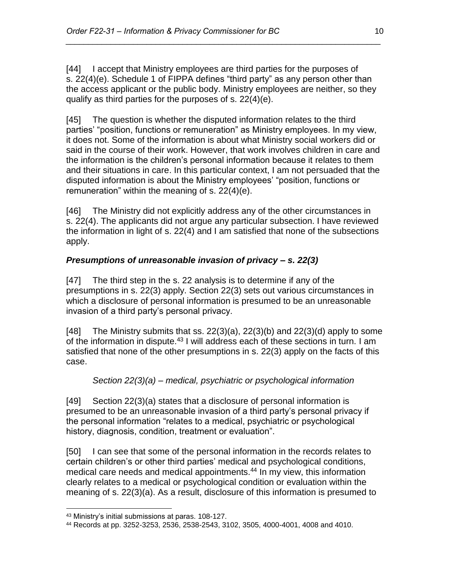[44] I accept that Ministry employees are third parties for the purposes of s. 22(4)(e). Schedule 1 of FIPPA defines "third party" as any person other than the access applicant or the public body. Ministry employees are neither, so they qualify as third parties for the purposes of s. 22(4)(e).

*\_\_\_\_\_\_\_\_\_\_\_\_\_\_\_\_\_\_\_\_\_\_\_\_\_\_\_\_\_\_\_\_\_\_\_\_\_\_\_\_\_\_\_\_\_\_\_\_\_\_\_\_\_\_\_\_\_\_\_\_\_\_\_\_\_\_\_\_\_\_*

[45] The question is whether the disputed information relates to the third parties' "position, functions or remuneration" as Ministry employees. In my view, it does not. Some of the information is about what Ministry social workers did or said in the course of their work. However, that work involves children in care and the information is the children's personal information because it relates to them and their situations in care. In this particular context, I am not persuaded that the disputed information is about the Ministry employees' "position, functions or remuneration" within the meaning of s. 22(4)(e).

[46] The Ministry did not explicitly address any of the other circumstances in s. 22(4). The applicants did not argue any particular subsection. I have reviewed the information in light of s. 22(4) and I am satisfied that none of the subsections apply.

# *Presumptions of unreasonable invasion of privacy – s. 22(3)*

[47] The third step in the s. 22 analysis is to determine if any of the presumptions in s. 22(3) apply. Section 22(3) sets out various circumstances in which a disclosure of personal information is presumed to be an unreasonable invasion of a third party's personal privacy.

[48] The Ministry submits that ss.  $22(3)(a)$ ,  $22(3)(b)$  and  $22(3)(d)$  apply to some of the information in dispute.<sup>43</sup> I will address each of these sections in turn. I am satisfied that none of the other presumptions in s. 22(3) apply on the facts of this case.

# *Section 22(3)(a) – medical, psychiatric or psychological information*

[49] Section 22(3)(a) states that a disclosure of personal information is presumed to be an unreasonable invasion of a third party's personal privacy if the personal information "relates to a medical, psychiatric or psychological history, diagnosis, condition, treatment or evaluation".

[50] I can see that some of the personal information in the records relates to certain children's or other third parties' medical and psychological conditions, medical care needs and medical appointments. <sup>44</sup> In my view, this information clearly relates to a medical or psychological condition or evaluation within the meaning of s. 22(3)(a). As a result, disclosure of this information is presumed to

<sup>43</sup> Ministry's initial submissions at paras. 108-127.

<sup>44</sup> Records at pp. 3252-3253, 2536, 2538-2543, 3102, 3505, 4000-4001, 4008 and 4010.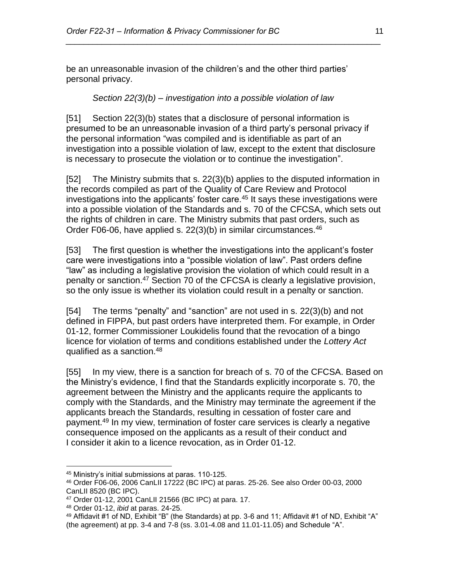be an unreasonable invasion of the children's and the other third parties' personal privacy.

#### *Section 22(3)(b) – investigation into a possible violation of law*

*\_\_\_\_\_\_\_\_\_\_\_\_\_\_\_\_\_\_\_\_\_\_\_\_\_\_\_\_\_\_\_\_\_\_\_\_\_\_\_\_\_\_\_\_\_\_\_\_\_\_\_\_\_\_\_\_\_\_\_\_\_\_\_\_\_\_\_\_\_\_*

[51] Section 22(3)(b) states that a disclosure of personal information is presumed to be an unreasonable invasion of a third party's personal privacy if the personal information "was compiled and is identifiable as part of an investigation into a possible violation of law, except to the extent that disclosure is necessary to prosecute the violation or to continue the investigation".

[52] The Ministry submits that s. 22(3)(b) applies to the disputed information in the records compiled as part of the Quality of Care Review and Protocol investigations into the applicants' foster care.<sup>45</sup> It says these investigations were into a possible violation of the Standards and s. 70 of the CFCSA, which sets out the rights of children in care. The Ministry submits that past orders, such as Order F06-06, have applied s. 22(3)(b) in similar circumstances.<sup>46</sup>

[53] The first question is whether the investigations into the applicant's foster care were investigations into a "possible violation of law". Past orders define "law" as including a legislative provision the violation of which could result in a penalty or sanction.<sup>47</sup> Section 70 of the CFCSA is clearly a legislative provision, so the only issue is whether its violation could result in a penalty or sanction.

[54] The terms "penalty" and "sanction" are not used in s. 22(3)(b) and not defined in FIPPA, but past orders have interpreted them. For example, in Order 01-12, former Commissioner Loukidelis found that the revocation of a bingo licence for violation of terms and conditions established under the *Lottery Act* qualified as a sanction.<sup>48</sup>

[55] In my view, there is a sanction for breach of s. 70 of the CFCSA. Based on the Ministry's evidence, I find that the Standards explicitly incorporate s. 70, the agreement between the Ministry and the applicants require the applicants to comply with the Standards, and the Ministry may terminate the agreement if the applicants breach the Standards, resulting in cessation of foster care and payment.<sup>49</sup> In my view, termination of foster care services is clearly a negative consequence imposed on the applicants as a result of their conduct and I consider it akin to a licence revocation, as in Order 01-12.

 $\overline{a}$ <sup>45</sup> Ministry's initial submissions at paras. 110-125.

<sup>46</sup> Order F06-06, 2006 CanLII 17222 (BC IPC) at paras. 25-26. See also Order 00-03, 2000 CanLII 8520 (BC IPC).

<sup>47</sup> Order 01-12, 2001 CanLII 21566 (BC IPC) at para. 17.

<sup>48</sup> Order 01-12, *ibid* at paras. 24-25.

<sup>49</sup> Affidavit #1 of ND, Exhibit "B" (the Standards) at pp. 3-6 and 11; Affidavit #1 of ND, Exhibit "A" (the agreement) at pp. 3-4 and 7-8 (ss. 3.01-4.08 and 11.01-11.05) and Schedule "A".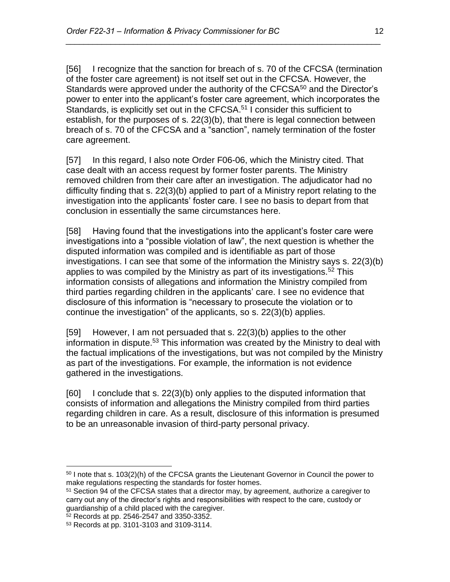[56] I recognize that the sanction for breach of s. 70 of the CFCSA (termination of the foster care agreement) is not itself set out in the CFCSA. However, the Standards were approved under the authority of the CFCSA<sup>50</sup> and the Director's power to enter into the applicant's foster care agreement, which incorporates the Standards, is explicitly set out in the CFCSA.<sup>51</sup> I consider this sufficient to establish, for the purposes of s. 22(3)(b), that there is legal connection between breach of s. 70 of the CFCSA and a "sanction", namely termination of the foster care agreement.

*\_\_\_\_\_\_\_\_\_\_\_\_\_\_\_\_\_\_\_\_\_\_\_\_\_\_\_\_\_\_\_\_\_\_\_\_\_\_\_\_\_\_\_\_\_\_\_\_\_\_\_\_\_\_\_\_\_\_\_\_\_\_\_\_\_\_\_\_\_\_*

[57] In this regard, I also note Order F06-06, which the Ministry cited. That case dealt with an access request by former foster parents. The Ministry removed children from their care after an investigation. The adjudicator had no difficulty finding that s. 22(3)(b) applied to part of a Ministry report relating to the investigation into the applicants' foster care. I see no basis to depart from that conclusion in essentially the same circumstances here.

[58] Having found that the investigations into the applicant's foster care were investigations into a "possible violation of law", the next question is whether the disputed information was compiled and is identifiable as part of those investigations. I can see that some of the information the Ministry says s. 22(3)(b) applies to was compiled by the Ministry as part of its investigations.<sup>52</sup> This information consists of allegations and information the Ministry compiled from third parties regarding children in the applicants' care. I see no evidence that disclosure of this information is "necessary to prosecute the violation or to continue the investigation" of the applicants, so s. 22(3)(b) applies.

[59] However, I am not persuaded that s. 22(3)(b) applies to the other information in dispute. <sup>53</sup> This information was created by the Ministry to deal with the factual implications of the investigations, but was not compiled by the Ministry as part of the investigations. For example, the information is not evidence gathered in the investigations.

[60] I conclude that s. 22(3)(b) only applies to the disputed information that consists of information and allegations the Ministry compiled from third parties regarding children in care. As a result, disclosure of this information is presumed to be an unreasonable invasion of third-party personal privacy.

<sup>52</sup> Records at pp. 2546-2547 and 3350-3352.

 $\overline{a}$ <sup>50</sup> I note that s. 103(2)(h) of the CFCSA grants the Lieutenant Governor in Council the power to make regulations respecting the standards for foster homes.

<sup>&</sup>lt;sup>51</sup> Section 94 of the CFCSA states that a director may, by agreement, authorize a caregiver to carry out any of the director's rights and responsibilities with respect to the care, custody or guardianship of a child placed with the caregiver.

<sup>53</sup> Records at pp. 3101-3103 and 3109-3114.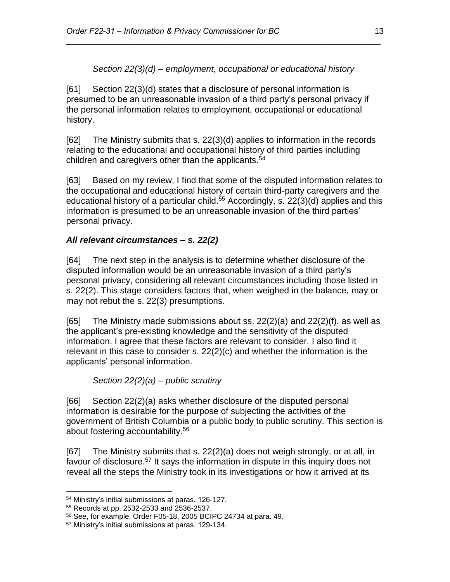# *Section 22(3)(d) – employment, occupational or educational history*

*\_\_\_\_\_\_\_\_\_\_\_\_\_\_\_\_\_\_\_\_\_\_\_\_\_\_\_\_\_\_\_\_\_\_\_\_\_\_\_\_\_\_\_\_\_\_\_\_\_\_\_\_\_\_\_\_\_\_\_\_\_\_\_\_\_\_\_\_\_\_*

[61] Section 22(3)(d) states that a disclosure of personal information is presumed to be an unreasonable invasion of a third party's personal privacy if the personal information relates to employment, occupational or educational history.

[62] The Ministry submits that s. 22(3)(d) applies to information in the records relating to the educational and occupational history of third parties including children and caregivers other than the applicants. 54

[63] Based on my review, I find that some of the disputed information relates to the occupational and educational history of certain third-party caregivers and the educational history of a particular child.<sup>55</sup> Accordingly, s. 22(3)(d) applies and this information is presumed to be an unreasonable invasion of the third parties' personal privacy.

# *All relevant circumstances – s. 22(2)*

[64] The next step in the analysis is to determine whether disclosure of the disputed information would be an unreasonable invasion of a third party's personal privacy, considering all relevant circumstances including those listed in s. 22(2). This stage considers factors that, when weighed in the balance, may or may not rebut the s. 22(3) presumptions.

[65] The Ministry made submissions about ss.  $22(2)(a)$  and  $22(2)(f)$ , as well as the applicant's pre-existing knowledge and the sensitivity of the disputed information. I agree that these factors are relevant to consider. I also find it relevant in this case to consider s. 22(2)(c) and whether the information is the applicants' personal information.

*Section 22(2)(a) – public scrutiny*

[66] Section 22(2)(a) asks whether disclosure of the disputed personal information is desirable for the purpose of subjecting the activities of the government of British Columbia or a public body to public scrutiny. This section is about fostering accountability.<sup>56</sup>

[67] The Ministry submits that s. 22(2)(a) does not weigh strongly, or at all, in favour of disclosure.<sup>57</sup> It says the information in dispute in this inquiry does not reveal all the steps the Ministry took in its investigations or how it arrived at its

 $\overline{a}$ <sup>54</sup> Ministry's initial submissions at paras. 126-127.

<sup>55</sup> Records at pp. 2532-2533 and 2536-2537.

<sup>56</sup> See, for example, Order F05-18, 2005 BCIPC 24734 at para. 49.

<sup>57</sup> Ministry's initial submissions at paras. 129-134.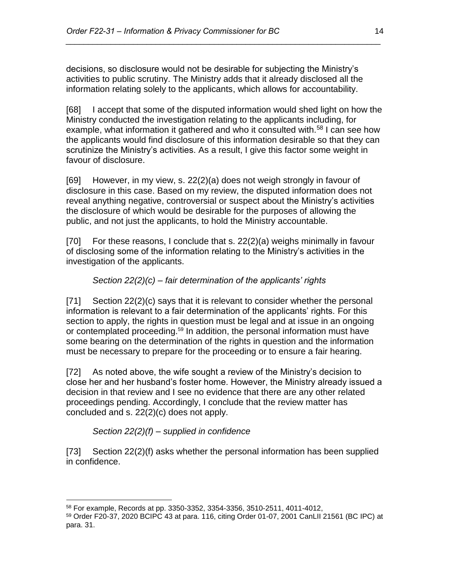decisions, so disclosure would not be desirable for subjecting the Ministry's activities to public scrutiny. The Ministry adds that it already disclosed all the information relating solely to the applicants, which allows for accountability.

*\_\_\_\_\_\_\_\_\_\_\_\_\_\_\_\_\_\_\_\_\_\_\_\_\_\_\_\_\_\_\_\_\_\_\_\_\_\_\_\_\_\_\_\_\_\_\_\_\_\_\_\_\_\_\_\_\_\_\_\_\_\_\_\_\_\_\_\_\_\_*

[68] I accept that some of the disputed information would shed light on how the Ministry conducted the investigation relating to the applicants including, for example, what information it gathered and who it consulted with.<sup>58</sup> I can see how the applicants would find disclosure of this information desirable so that they can scrutinize the Ministry's activities. As a result, I give this factor some weight in favour of disclosure.

[69] However, in my view, s. 22(2)(a) does not weigh strongly in favour of disclosure in this case. Based on my review, the disputed information does not reveal anything negative, controversial or suspect about the Ministry's activities the disclosure of which would be desirable for the purposes of allowing the public, and not just the applicants, to hold the Ministry accountable.

[70] For these reasons, I conclude that s. 22(2)(a) weighs minimally in favour of disclosing some of the information relating to the Ministry's activities in the investigation of the applicants.

# *Section 22(2)(c) – fair determination of the applicants' rights*

[71] Section 22(2)(c) says that it is relevant to consider whether the personal information is relevant to a fair determination of the applicants' rights. For this section to apply, the rights in question must be legal and at issue in an ongoing or contemplated proceeding.<sup>59</sup> In addition, the personal information must have some bearing on the determination of the rights in question and the information must be necessary to prepare for the proceeding or to ensure a fair hearing.

[72] As noted above, the wife sought a review of the Ministry's decision to close her and her husband's foster home. However, the Ministry already issued a decision in that review and I see no evidence that there are any other related proceedings pending. Accordingly, I conclude that the review matter has concluded and s. 22(2)(c) does not apply.

*Section 22(2)(f) – supplied in confidence*

[73] Section 22(2)(f) asks whether the personal information has been supplied in confidence.

 $\overline{a}$ <sup>58</sup> For example, Records at pp. 3350-3352, 3354-3356, 3510-2511, 4011-4012,

<sup>59</sup> Order F20-37, 2020 BCIPC 43 at para. 116, citing Order 01-07, 2001 CanLII 21561 (BC IPC) at para. 31.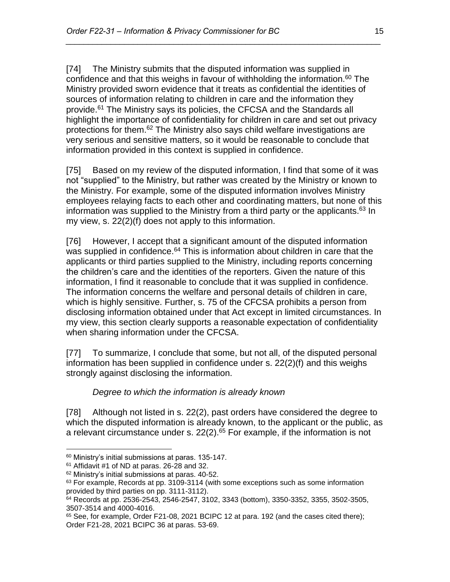[74] The Ministry submits that the disputed information was supplied in confidence and that this weighs in favour of withholding the information.<sup>60</sup> The Ministry provided sworn evidence that it treats as confidential the identities of sources of information relating to children in care and the information they provide.<sup>61</sup> The Ministry says its policies, the CFCSA and the Standards all highlight the importance of confidentiality for children in care and set out privacy protections for them.<sup>62</sup> The Ministry also says child welfare investigations are very serious and sensitive matters, so it would be reasonable to conclude that information provided in this context is supplied in confidence.

*\_\_\_\_\_\_\_\_\_\_\_\_\_\_\_\_\_\_\_\_\_\_\_\_\_\_\_\_\_\_\_\_\_\_\_\_\_\_\_\_\_\_\_\_\_\_\_\_\_\_\_\_\_\_\_\_\_\_\_\_\_\_\_\_\_\_\_\_\_\_*

[75] Based on my review of the disputed information, I find that some of it was not "supplied" to the Ministry, but rather was created by the Ministry or known to the Ministry. For example, some of the disputed information involves Ministry employees relaying facts to each other and coordinating matters, but none of this information was supplied to the Ministry from a third party or the applicants. <sup>63</sup> In my view, s. 22(2)(f) does not apply to this information.

[76] However, I accept that a significant amount of the disputed information was supplied in confidence.<sup>64</sup> This is information about children in care that the applicants or third parties supplied to the Ministry, including reports concerning the children's care and the identities of the reporters. Given the nature of this information, I find it reasonable to conclude that it was supplied in confidence. The information concerns the welfare and personal details of children in care, which is highly sensitive. Further, s. 75 of the CFCSA prohibits a person from disclosing information obtained under that Act except in limited circumstances. In my view, this section clearly supports a reasonable expectation of confidentiality when sharing information under the CFCSA.

[77] To summarize, I conclude that some, but not all, of the disputed personal information has been supplied in confidence under s. 22(2)(f) and this weighs strongly against disclosing the information.

# *Degree to which the information is already known*

[78] Although not listed in s. 22(2), past orders have considered the degree to which the disputed information is already known, to the applicant or the public, as a relevant circumstance under s.  $22(2)$ .<sup>65</sup> For example, if the information is not

<sup>60</sup> Ministry's initial submissions at paras. 135-147.

 $61$  Affidavit #1 of ND at paras. 26-28 and 32.

<sup>62</sup> Ministry's initial submissions at paras. 40-52.

 $63$  For example, Records at pp. 3109-3114 (with some exceptions such as some information provided by third parties on pp. 3111-3112).

 $64$  Records at pp. 2536-2543, 2546-2547, 3102, 3343 (bottom), 3350-3352, 3355, 3502-3505, 3507-3514 and 4000-4016.

<sup>&</sup>lt;sup>65</sup> See, for example, Order F21-08, 2021 BCIPC 12 at para. 192 (and the cases cited there); Order F21-28, 2021 BCIPC 36 at paras. 53-69.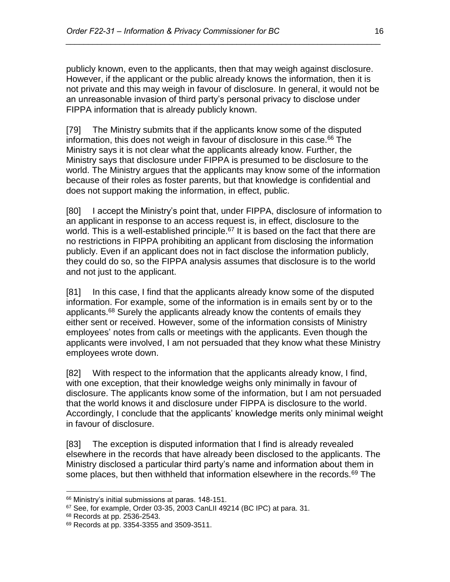publicly known, even to the applicants, then that may weigh against disclosure. However, if the applicant or the public already knows the information, then it is not private and this may weigh in favour of disclosure. In general, it would not be an unreasonable invasion of third party's personal privacy to disclose under FIPPA information that is already publicly known.

*\_\_\_\_\_\_\_\_\_\_\_\_\_\_\_\_\_\_\_\_\_\_\_\_\_\_\_\_\_\_\_\_\_\_\_\_\_\_\_\_\_\_\_\_\_\_\_\_\_\_\_\_\_\_\_\_\_\_\_\_\_\_\_\_\_\_\_\_\_\_*

[79] The Ministry submits that if the applicants know some of the disputed information, this does not weigh in favour of disclosure in this case.<sup>66</sup> The Ministry says it is not clear what the applicants already know. Further, the Ministry says that disclosure under FIPPA is presumed to be disclosure to the world. The Ministry argues that the applicants may know some of the information because of their roles as foster parents, but that knowledge is confidential and does not support making the information, in effect, public.

[80] I accept the Ministry's point that, under FIPPA, disclosure of information to an applicant in response to an access request is, in effect, disclosure to the world. This is a well-established principle. $67$  It is based on the fact that there are no restrictions in FIPPA prohibiting an applicant from disclosing the information publicly. Even if an applicant does not in fact disclose the information publicly, they could do so, so the FIPPA analysis assumes that disclosure is to the world and not just to the applicant.

[81] In this case, I find that the applicants already know some of the disputed information. For example, some of the information is in emails sent by or to the applicants.<sup>68</sup> Surely the applicants already know the contents of emails they either sent or received. However, some of the information consists of Ministry employees' notes from calls or meetings with the applicants. Even though the applicants were involved, I am not persuaded that they know what these Ministry employees wrote down.

[82] With respect to the information that the applicants already know, I find, with one exception, that their knowledge weighs only minimally in favour of disclosure. The applicants know some of the information, but I am not persuaded that the world knows it and disclosure under FIPPA is disclosure to the world. Accordingly, I conclude that the applicants' knowledge merits only minimal weight in favour of disclosure.

[83] The exception is disputed information that I find is already revealed elsewhere in the records that have already been disclosed to the applicants. The Ministry disclosed a particular third party's name and information about them in some places, but then withheld that information elsewhere in the records.<sup>69</sup> The

<sup>66</sup> Ministry's initial submissions at paras. 148-151.

 $67$  See, for example, Order 03-35, 2003 CanLII 49214 (BC IPC) at para. 31.

<sup>68</sup> Records at pp. 2536-2543.

<sup>69</sup> Records at pp. 3354-3355 and 3509-3511.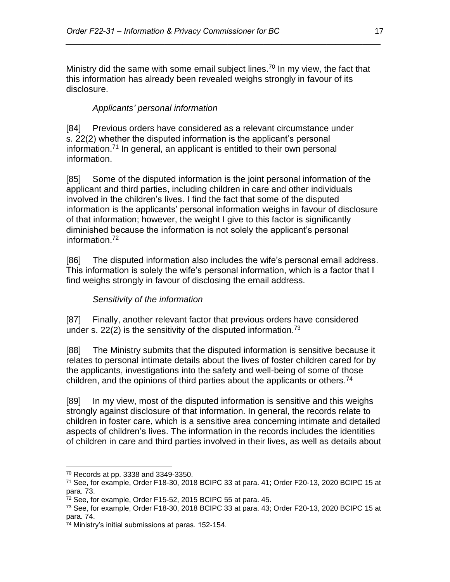Ministry did the same with some email subject lines.<sup>70</sup> In my view, the fact that this information has already been revealed weighs strongly in favour of its disclosure.

*\_\_\_\_\_\_\_\_\_\_\_\_\_\_\_\_\_\_\_\_\_\_\_\_\_\_\_\_\_\_\_\_\_\_\_\_\_\_\_\_\_\_\_\_\_\_\_\_\_\_\_\_\_\_\_\_\_\_\_\_\_\_\_\_\_\_\_\_\_\_*

# *Applicants' personal information*

[84] Previous orders have considered as a relevant circumstance under s. 22(2) whether the disputed information is the applicant's personal information.<sup>71</sup> In general, an applicant is entitled to their own personal information.

[85] Some of the disputed information is the joint personal information of the applicant and third parties, including children in care and other individuals involved in the children's lives. I find the fact that some of the disputed information is the applicants' personal information weighs in favour of disclosure of that information; however, the weight I give to this factor is significantly diminished because the information is not solely the applicant's personal information.<sup>72</sup>

[86] The disputed information also includes the wife's personal email address. This information is solely the wife's personal information, which is a factor that I find weighs strongly in favour of disclosing the email address.

# *Sensitivity of the information*

[87] Finally, another relevant factor that previous orders have considered under s. 22(2) is the sensitivity of the disputed information.<sup>73</sup>

[88] The Ministry submits that the disputed information is sensitive because it relates to personal intimate details about the lives of foster children cared for by the applicants, investigations into the safety and well-being of some of those children, and the opinions of third parties about the applicants or others. 74

[89] In my view, most of the disputed information is sensitive and this weighs strongly against disclosure of that information. In general, the records relate to children in foster care, which is a sensitive area concerning intimate and detailed aspects of children's lives. The information in the records includes the identities of children in care and third parties involved in their lives, as well as details about

 $\overline{a}$ <sup>70</sup> Records at pp. 3338 and 3349-3350.

 $71$  See, for example, Order F18-30, 2018 BCIPC 33 at para. 41; Order F20-13, 2020 BCIPC 15 at para. 73.

 $72$  See, for example, Order F15-52, 2015 BCIPC 55 at para. 45.

 $73$  See, for example, Order F18-30, 2018 BCIPC 33 at para.  $43$ ; Order F20-13, 2020 BCIPC 15 at para. 74.

<sup>74</sup> Ministry's initial submissions at paras. 152-154.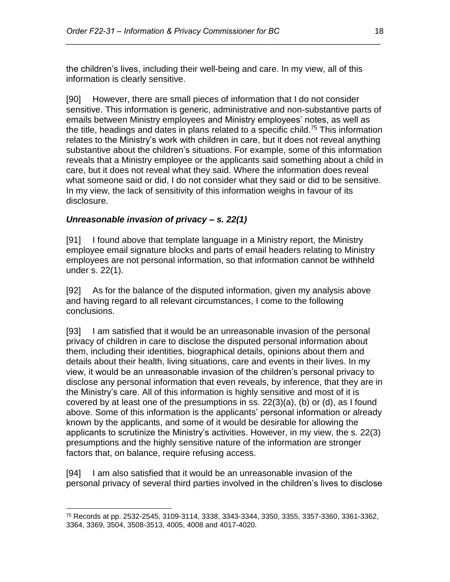the children's lives, including their well-being and care. In my view, all of this information is clearly sensitive.

*\_\_\_\_\_\_\_\_\_\_\_\_\_\_\_\_\_\_\_\_\_\_\_\_\_\_\_\_\_\_\_\_\_\_\_\_\_\_\_\_\_\_\_\_\_\_\_\_\_\_\_\_\_\_\_\_\_\_\_\_\_\_\_\_\_\_\_\_\_\_*

[90] However, there are small pieces of information that I do not consider sensitive. This information is generic, administrative and non-substantive parts of emails between Ministry employees and Ministry employees' notes, as well as the title, headings and dates in plans related to a specific child.<sup>75</sup> This information relates to the Ministry's work with children in care, but it does not reveal anything substantive about the children's situations. For example, some of this information reveals that a Ministry employee or the applicants said something about a child in care, but it does not reveal what they said. Where the information does reveal what someone said or did, I do not consider what they said or did to be sensitive. In my view, the lack of sensitivity of this information weighs in favour of its disclosure.

#### *Unreasonable invasion of privacy – s. 22(1)*

 $\overline{a}$ 

[91] I found above that template language in a Ministry report, the Ministry employee email signature blocks and parts of email headers relating to Ministry employees are not personal information, so that information cannot be withheld under s. 22(1).

[92] As for the balance of the disputed information, given my analysis above and having regard to all relevant circumstances, I come to the following conclusions.

[93] I am satisfied that it would be an unreasonable invasion of the personal privacy of children in care to disclose the disputed personal information about them, including their identities, biographical details, opinions about them and details about their health, living situations, care and events in their lives. In my view, it would be an unreasonable invasion of the children's personal privacy to disclose any personal information that even reveals, by inference, that they are in the Ministry's care. All of this information is highly sensitive and most of it is covered by at least one of the presumptions in ss. 22(3)(a), (b) or (d), as I found above. Some of this information is the applicants' personal information or already known by the applicants, and some of it would be desirable for allowing the applicants to scrutinize the Ministry's activities. However, in my view, the s. 22(3) presumptions and the highly sensitive nature of the information are stronger factors that, on balance, require refusing access.

[94] I am also satisfied that it would be an unreasonable invasion of the personal privacy of several third parties involved in the children's lives to disclose

<sup>75</sup> Records at pp. 2532-2545, 3109-3114, 3338, 3343-3344, 3350, 3355, 3357-3360, 3361-3362, 3364, 3369, 3504, 3508-3513, 4005, 4008 and 4017-4020.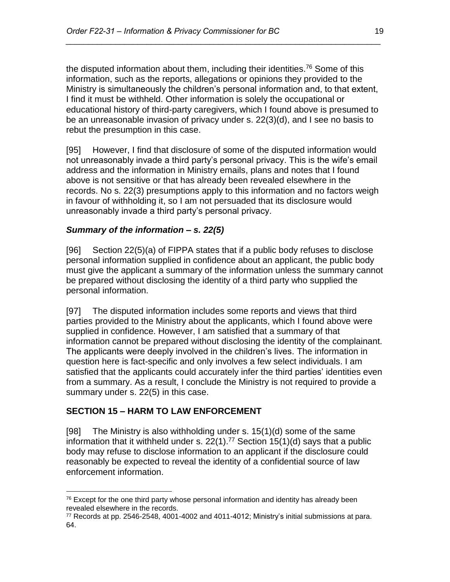the disputed information about them, including their identities. <sup>76</sup> Some of this information, such as the reports, allegations or opinions they provided to the Ministry is simultaneously the children's personal information and, to that extent, I find it must be withheld. Other information is solely the occupational or educational history of third-party caregivers, which I found above is presumed to be an unreasonable invasion of privacy under s. 22(3)(d), and I see no basis to rebut the presumption in this case.

*\_\_\_\_\_\_\_\_\_\_\_\_\_\_\_\_\_\_\_\_\_\_\_\_\_\_\_\_\_\_\_\_\_\_\_\_\_\_\_\_\_\_\_\_\_\_\_\_\_\_\_\_\_\_\_\_\_\_\_\_\_\_\_\_\_\_\_\_\_\_*

[95] However, I find that disclosure of some of the disputed information would not unreasonably invade a third party's personal privacy. This is the wife's email address and the information in Ministry emails, plans and notes that I found above is not sensitive or that has already been revealed elsewhere in the records. No s. 22(3) presumptions apply to this information and no factors weigh in favour of withholding it, so I am not persuaded that its disclosure would unreasonably invade a third party's personal privacy.

#### *Summary of the information – s. 22(5)*

[96] Section 22(5)(a) of FIPPA states that if a public body refuses to disclose personal information supplied in confidence about an applicant, the public body must give the applicant a summary of the information unless the summary cannot be prepared without disclosing the identity of a third party who supplied the personal information.

[97] The disputed information includes some reports and views that third parties provided to the Ministry about the applicants, which I found above were supplied in confidence. However, I am satisfied that a summary of that information cannot be prepared without disclosing the identity of the complainant. The applicants were deeply involved in the children's lives. The information in question here is fact-specific and only involves a few select individuals. I am satisfied that the applicants could accurately infer the third parties' identities even from a summary. As a result, I conclude the Ministry is not required to provide a summary under s. 22(5) in this case.

# **SECTION 15 – HARM TO LAW ENFORCEMENT**

[98] The Ministry is also withholding under s.  $15(1)(d)$  some of the same information that it withheld under s.  $22(1)$ .<sup>77</sup> Section 15(1)(d) says that a public body may refuse to disclose information to an applicant if the disclosure could reasonably be expected to reveal the identity of a confidential source of law enforcement information.

 $\overline{a}$  $76$  Except for the one third party whose personal information and identity has already been revealed elsewhere in the records.

 $77$  Records at pp. 2546-2548, 4001-4002 and 4011-4012; Ministry's initial submissions at para. 64.